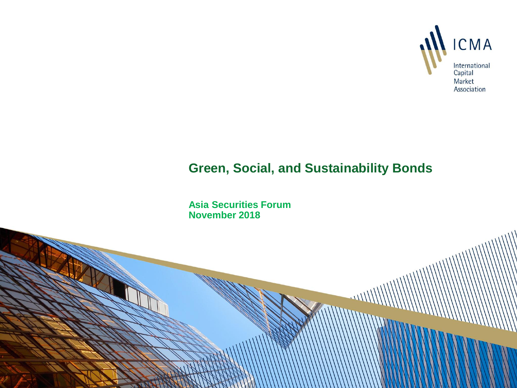

## **Green, Social, and Sustainability Bonds**

**Asia Securities Forum November 2018**

**STATE**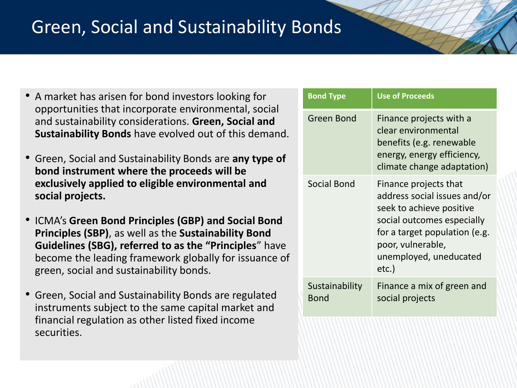## Green, Social and Sustainability Bonds

- A market has arisen for bond investors looking for opportunities that incorporate environmental, social and sustainability considerations. **Green, Social and Sustainability Bonds** have evolved out of this demand.
- Green, Social and Sustainability Bonds are **any type of bond instrument where the proceeds will be exclusively applied to eligible environmental and social projects.**
- ICMA's **Green Bond Principles (GBP) and Social Bond Principles (SBP)**, as well as the **Sustainability Bond Guidelines (SBG), referred to as the "Principles**" have become the leading framework globally for issuance of green, social and sustainability bonds.
- Green, Social and Sustainability Bonds are regulated instruments subject to the same capital market and financial regulation as other listed fixed income securities.

| <b>Bond Type</b>       | <b>Use of Proceeds</b>                                                                                                                                                                                   |
|------------------------|----------------------------------------------------------------------------------------------------------------------------------------------------------------------------------------------------------|
| <b>Green Bond</b>      | Finance projects with a<br>clear environmental<br>benefits (e.g. renewable<br>energy, energy efficiency,<br>climate change adaptation)                                                                   |
| <b>Social Bond</b>     | Finance projects that<br>address social issues and/or<br>seek to achieve positive<br>social outcomes especially<br>for a target population (e.g.<br>poor, vulnerable,<br>unemployed, uneducated<br>etc.) |
| Sustainability<br>Bond | Finance a mix of green and<br>social projects                                                                                                                                                            |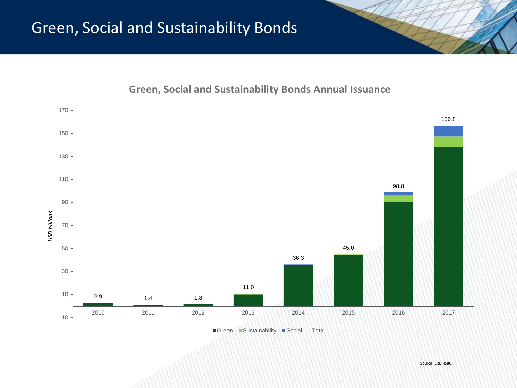**Green, Social and Sustainability Bonds Annual Issuance** 

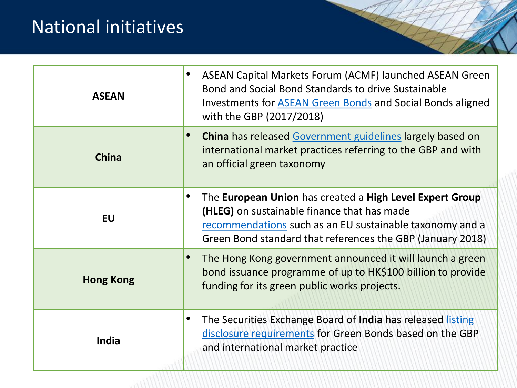## National initiatives

| <b>ASEAN</b>     | ASEAN Capital Markets Forum (ACMF) launched ASEAN Green<br>Bond and Social Bond Standards to drive Sustainable<br>Investments for <b>ASEAN Green Bonds</b> and Social Bonds aligned<br>with the GBP (2017/2018)                   |
|------------------|-----------------------------------------------------------------------------------------------------------------------------------------------------------------------------------------------------------------------------------|
| <b>China</b>     | China has released Government guidelines largely based on<br>international market practices referring to the GBP and with<br>an official green taxonomy                                                                           |
| <b>EU</b>        | The European Union has created a High Level Expert Group<br>(HLEG) on sustainable finance that has made<br>recommendations such as an EU sustainable taxonomy and a<br>Green Bond standard that references the GBP (January 2018) |
| <b>Hong Kong</b> | The Hong Kong government announced it will launch a green<br>bond issuance programme of up to HK\$100 billion to provide<br>funding for its green public works projects.                                                          |
| India            | The Securities Exchange Board of India has released listing<br>٠<br>disclosure requirements for Green Bonds based on the GBP<br>and international market practice                                                                 |